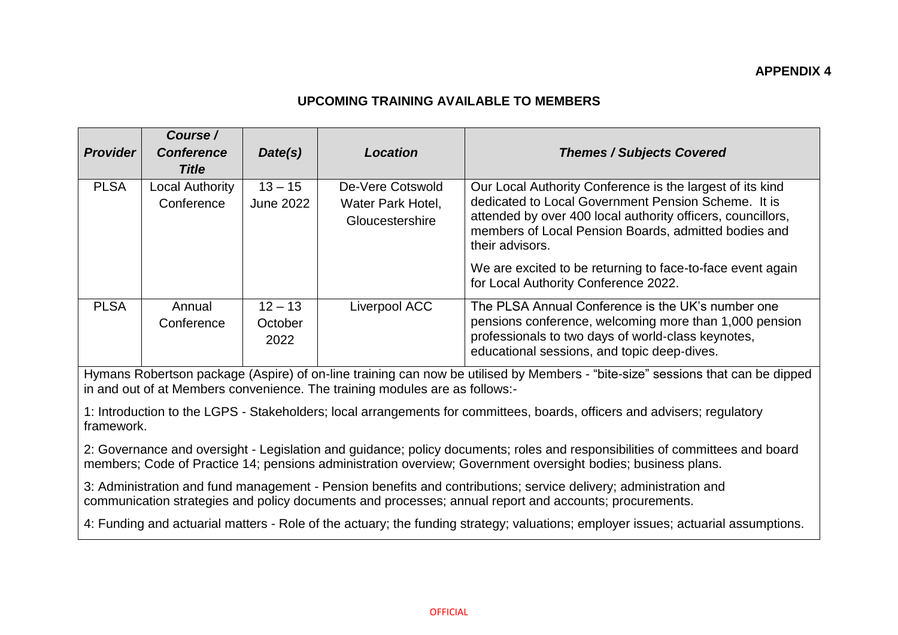## **UPCOMING TRAINING AVAILABLE TO MEMBERS**

|                 | Course /                                                                                                                     |                               |                                                          |                                                                                                                                                                                                                                                                                                                          |  |  |  |
|-----------------|------------------------------------------------------------------------------------------------------------------------------|-------------------------------|----------------------------------------------------------|--------------------------------------------------------------------------------------------------------------------------------------------------------------------------------------------------------------------------------------------------------------------------------------------------------------------------|--|--|--|
| <b>Provider</b> | <b>Conference</b>                                                                                                            | Date(s)                       | Location                                                 | <b>Themes / Subjects Covered</b>                                                                                                                                                                                                                                                                                         |  |  |  |
|                 | <b>Title</b>                                                                                                                 |                               |                                                          |                                                                                                                                                                                                                                                                                                                          |  |  |  |
| <b>PLSA</b>     | <b>Local Authority</b><br>Conference                                                                                         | $13 - 15$<br><b>June 2022</b> | De-Vere Cotswold<br>Water Park Hotel,<br>Gloucestershire | Our Local Authority Conference is the largest of its kind<br>dedicated to Local Government Pension Scheme. It is<br>attended by over 400 local authority officers, councillors,<br>members of Local Pension Boards, admitted bodies and<br>their advisors.<br>We are excited to be returning to face-to-face event again |  |  |  |
|                 |                                                                                                                              |                               |                                                          | for Local Authority Conference 2022.                                                                                                                                                                                                                                                                                     |  |  |  |
| <b>PLSA</b>     | Annual<br>Conference                                                                                                         | $12 - 13$<br>October<br>2022  | Liverpool ACC                                            | The PLSA Annual Conference is the UK's number one<br>pensions conference, welcoming more than 1,000 pension<br>professionals to two days of world-class keynotes,<br>educational sessions, and topic deep-dives.                                                                                                         |  |  |  |
|                 | Hymana Rabertson poekage (Appira) of an line training oan now be utilized by Mambers "bito aize" esseigne that can be dinned |                               |                                                          |                                                                                                                                                                                                                                                                                                                          |  |  |  |

Hymans Robertson package (Aspire) of on-line training can now be utilised by Members - "bite-size" sessions that can be dipped in and out of at Members convenience. The training modules are as follows:-

1: Introduction to the LGPS - Stakeholders; local arrangements for committees, boards, officers and advisers; regulatory framework.

2: Governance and oversight - Legislation and guidance; policy documents; roles and responsibilities of committees and board members; Code of Practice 14; pensions administration overview; Government oversight bodies; business plans.

3: Administration and fund management - Pension benefits and contributions; service delivery; administration and communication strategies and policy documents and processes; annual report and accounts; procurements.

4: Funding and actuarial matters - Role of the actuary; the funding strategy; valuations; employer issues; actuarial assumptions.